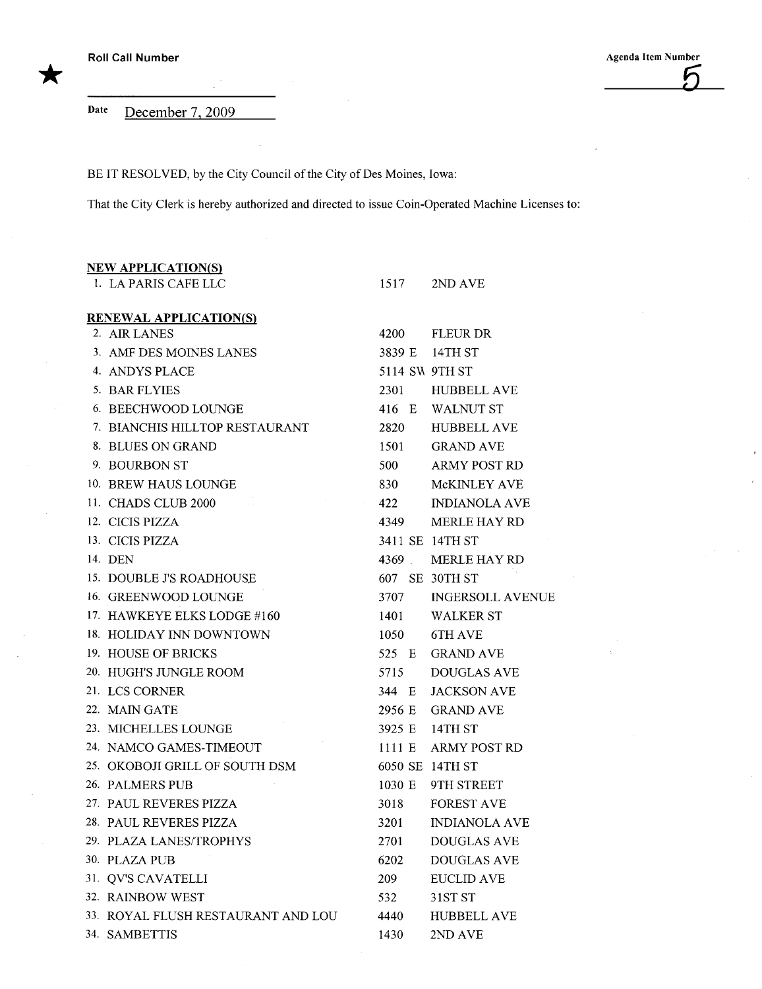Date December 7, 2009

BE IT RESOLVED, by the City Council of the City of Des Moines, Iowa:

 $\bar{\mathcal{A}}$ 

That the City Clerk is hereby authorized and directed to issue Coin-Operated Machine Licenses to:

| <b>NEW APPLICATION(S)</b>             |                   |                         |
|---------------------------------------|-------------------|-------------------------|
| 1. LA PARIS CAFE LLC                  | 1517              | 2ND AVE                 |
| <b>RENEWAL APPLICATION(S)</b>         |                   |                         |
| 2. AIR LANES                          | 4200              | <b>FLEUR DR</b>         |
| 3. AMF DES MOINES LANES               |                   | 3839 E 14TH ST          |
| 4. ANDYS PLACE                        | 5114 SW 9TH ST    |                         |
| 5. BAR FLYIES                         | 2301              | <b>HUBBELL AVE</b>      |
| 6. BEECHWOOD LOUNGE                   |                   | 416 E WALNUT ST         |
| 7. BIANCHIS HILLTOP RESTAURANT        | 2820              | <b>HUBBELL AVE</b>      |
| 8. BLUES ON GRAND                     | 1501              | <b>GRAND AVE</b>        |
| 9. BOURBON ST                         | 500               | <b>ARMY POST RD</b>     |
| 10. BREW HAUS LOUNGE                  | 830               | McKINLEY AVE            |
| 11. CHADS CLUB 2000<br>$\sim 10^{11}$ | $\alpha$ .<br>422 | <b>INDIANOLA AVE</b>    |
| 12. CICIS PIZZA                       | 4349              | <b>MERLE HAY RD</b>     |
| 13. CICIS PIZZA                       |                   | 3411 SE 14TH ST         |
| 14. DEN                               |                   | 4369 MERLE HAY RD       |
| 15. DOUBLE J'S ROADHOUSE              |                   | 607 SE 30TH ST          |
| 16. GREENWOOD LOUNGE                  | 3707              | <b>INGERSOLL AVENUE</b> |
| 17. HAWKEYE ELKS LODGE #160           | 1401              | <b>WALKER ST</b>        |
| 18. HOLIDAY INN DOWNTOWN              | 1050              | 6TH AVE                 |
| 19. HOUSE OF BRICKS                   | 525 E             | <b>GRAND AVE</b>        |
| 20. HUGH'S JUNGLE ROOM                | 5715              | <b>DOUGLAS AVE</b>      |
| 21. LCS CORNER                        | 344 E             | <b>JACKSON AVE</b>      |
| 22. MAIN GATE                         | 2956 E            | <b>GRAND AVE</b>        |
| 23. MICHELLES LOUNGE                  | 3925 E            | 14TH ST                 |
| 24. NAMCO GAMES-TIMEOUT               | 1111E             | <b>ARMY POST RD</b>     |
| 25. OKOBOJI GRILL OF SOUTH DSM        |                   | 6050 SE 14TH ST         |
| 26. PALMERS PUB                       | 1030 E            | 9TH STREET              |
| 27. PAUL REVERES PIZZA                | 3018              | <b>FOREST AVE</b>       |
| 28. PAUL REVERES PIZZA                | 3201              | <b>INDIANOLA AVE</b>    |
| 29. PLAZA LANES/TROPHYS               | 2701              | <b>DOUGLAS AVE</b>      |
| 30. PLAZA PUB                         | 6202              | <b>DOUGLAS AVE</b>      |
| 31. QV'S CAVATELLI                    | 209               | <b>EUCLID AVE</b>       |
| 32. RAINBOW WEST                      | 532               | 31ST ST                 |
| 33. ROYAL FLUSH RESTAURANT AND LOU    | 4440              | <b>HUBBELL AVE</b>      |
| 34. SAMBETTIS                         | 1430              | 2ND AVE                 |